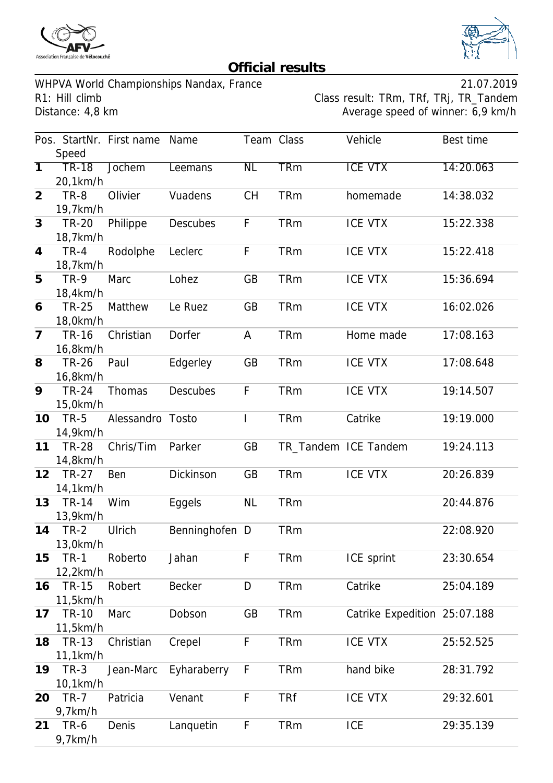



## **Official results**

WHPVA World Championships Nandax, France 21.07.2019

R1: Hill climb Class result: TRm, TRf, TRj, TR\_Tandem<br>Distance: 4,8 km Class result: TRm, TRf, TRj, TR\_Tandem Average speed of winner: 6,9 km/h

|                |              | Pos. StartNr. First name | Name            | Team Class     |            | Vehicle                      | Best time |
|----------------|--------------|--------------------------|-----------------|----------------|------------|------------------------------|-----------|
|                | Speed        |                          |                 |                |            |                              |           |
| $\overline{1}$ | <b>TR-18</b> | <b>Jochem</b>            | Leemans         | N <sub>L</sub> | <b>TRm</b> | <b>ICE VTX</b>               | 14:20.063 |
|                | 20,1km/h     |                          |                 |                |            |                              |           |
| $\overline{2}$ | <b>TR-8</b>  | Olivier                  | Vuadens         | <b>CH</b>      | <b>TRm</b> | homemade                     | 14:38.032 |
|                | 19,7km/h     |                          |                 |                |            |                              |           |
| 3              | <b>TR-20</b> | Philippe                 | <b>Descubes</b> | F              | <b>TRm</b> | <b>ICE VTX</b>               | 15:22.338 |
|                | 18,7km/h     |                          |                 |                |            |                              |           |
| $\overline{4}$ | $TR-4$       | Rodolphe                 | Leclerc         | F              | <b>TRm</b> | <b>ICE VTX</b>               | 15:22.418 |
|                | 18,7km/h     |                          |                 |                |            |                              |           |
| 5              | <b>TR-9</b>  | Marc                     | Lohez           | <b>GB</b>      | <b>TRm</b> | <b>ICE VTX</b>               | 15:36.694 |
|                | 18,4km/h     |                          |                 |                |            |                              |           |
| 6              | <b>TR-25</b> | Matthew                  | Le Ruez         | GB             | <b>TRm</b> | <b>ICE VTX</b>               | 16:02.026 |
|                | 18,0km/h     |                          |                 |                |            |                              |           |
| $\overline{7}$ | <b>TR-16</b> | Christian                | Dorfer          | A              | <b>TRm</b> | Home made                    | 17:08.163 |
|                | 16,8km/h     |                          |                 |                |            |                              |           |
| 8              | <b>TR-26</b> | Paul                     | Edgerley        | <b>GB</b>      | <b>TRm</b> | <b>ICE VTX</b>               | 17:08.648 |
|                | 16,8km/h     |                          |                 |                |            |                              |           |
| 9              | <b>TR-24</b> | Thomas                   | <b>Descubes</b> | F              | <b>TRm</b> | <b>ICE VTX</b>               | 19:14.507 |
|                | 15,0km/h     |                          |                 |                |            |                              |           |
| 10             | <b>TR-5</b>  | Alessandro Tosto         |                 |                | <b>TRm</b> | Catrike                      | 19:19.000 |
|                | 14,9km/h     |                          |                 |                |            |                              |           |
| 11             | <b>TR-28</b> | Chris/Tim                | Parker          | GB             |            | TR_Tandem ICE Tandem         | 19:24.113 |
|                | 14,8km/h     |                          |                 |                |            |                              |           |
| 12             | <b>TR-27</b> | Ben                      | Dickinson       | GB             | <b>TRm</b> | <b>ICE VTX</b>               | 20:26.839 |
|                | 14,1km/h     |                          |                 |                |            |                              |           |
| 13             | <b>TR-14</b> | Wim                      | Eggels          | <b>NL</b>      | <b>TRm</b> |                              | 20:44.876 |
|                | 13,9km/h     |                          |                 |                |            |                              |           |
| 14             | $TR-2$       | Ulrich                   | Benninghofen D  |                | <b>TRm</b> |                              | 22:08.920 |
|                | 13,0km/h     |                          |                 |                |            |                              |           |
| 15             | <b>TR-1</b>  | Roberto                  | Jahan           | F              | <b>TRm</b> | ICE sprint                   | 23:30.654 |
|                | 12,2km/h     |                          |                 |                |            |                              |           |
| 16             | <b>TR-15</b> | Robert                   | <b>Becker</b>   | D              | <b>TRm</b> | Catrike                      | 25:04.189 |
|                | 11,5km/h     |                          |                 |                |            |                              |           |
| 17             | <b>TR-10</b> | Marc                     | Dobson          | GB             | <b>TRm</b> | Catrike Expedition 25:07.188 |           |
|                | 11,5km/h     |                          |                 |                |            |                              |           |
| 18             | TR-13        | Christian                | Crepel          | F              | <b>TRm</b> | <b>ICE VTX</b>               | 25:52.525 |
|                | 11,1km/h     |                          |                 |                |            |                              |           |
| 19             | $TR-3$       | Jean-Marc                | Eyharaberry     | F              | <b>TRm</b> | hand bike                    | 28:31.792 |
|                | 10,1km/h     |                          |                 |                |            |                              |           |
| 20             | $TR-7$       | Patricia                 | Venant          | F              | <b>TRf</b> | <b>ICE VTX</b>               | 29:32.601 |
|                | 9,7km/h      |                          |                 |                |            |                              |           |
| 21             | TR-6         | Denis                    | Lanquetin       | F              | <b>TRm</b> | <b>ICE</b>                   | 29:35.139 |
|                | 9,7km/h      |                          |                 |                |            |                              |           |